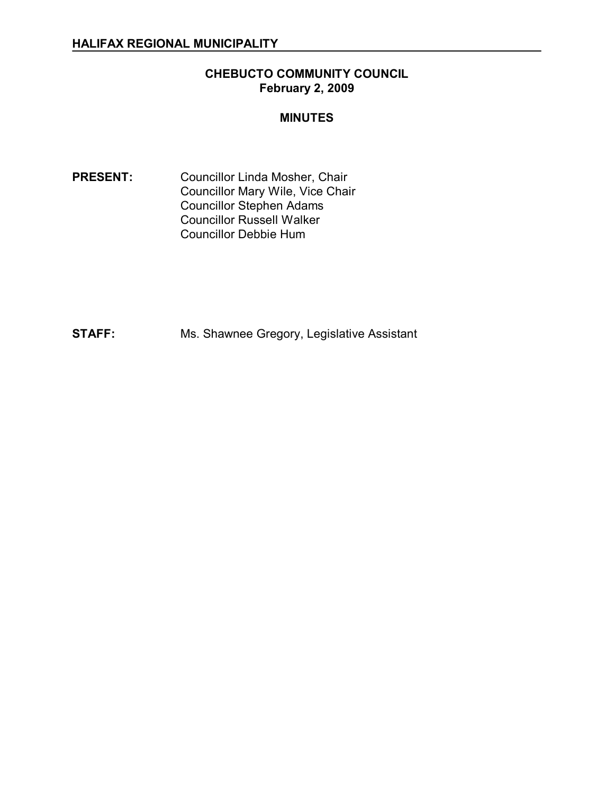# **CHEBUCTO COMMUNITY COUNCIL February 2, 2009**

### **MINUTES**

**PRESENT:** Councillor Linda Mosher, Chair Councillor Mary Wile, Vice Chair Councillor Stephen Adams Councillor Russell Walker Councillor Debbie Hum

**STAFF:** Ms. Shawnee Gregory, Legislative Assistant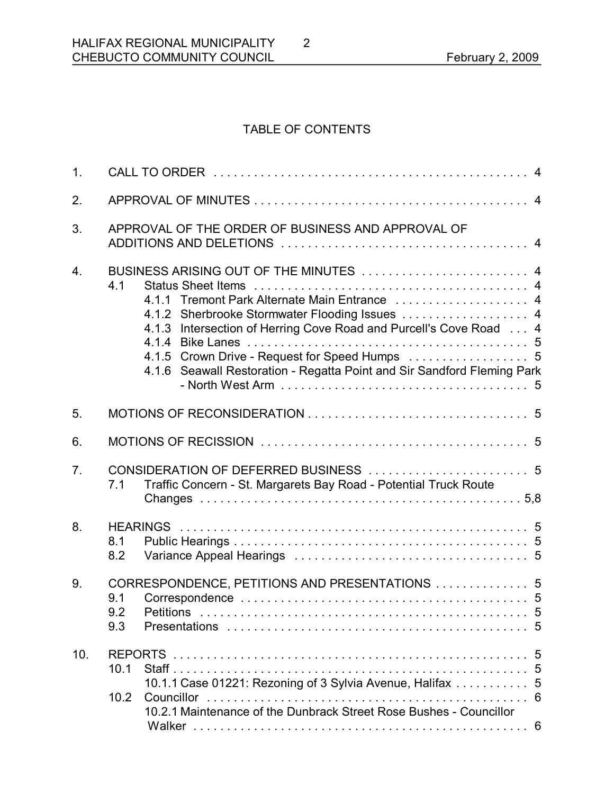# TABLE OF CONTENTS

2

| 1.               |                   |                                                                                                                                                                                                                                                                                                                                                |  |  |
|------------------|-------------------|------------------------------------------------------------------------------------------------------------------------------------------------------------------------------------------------------------------------------------------------------------------------------------------------------------------------------------------------|--|--|
| 2.               |                   |                                                                                                                                                                                                                                                                                                                                                |  |  |
| 3.               |                   | APPROVAL OF THE ORDER OF BUSINESS AND APPROVAL OF                                                                                                                                                                                                                                                                                              |  |  |
| $\overline{4}$ . | 4.1               | BUSINESS ARISING OUT OF THE MINUTES  4<br>4.1.1 Tremont Park Alternate Main Entrance  4<br>4.1.2 Sherbrooke Stormwater Flooding Issues  4<br>4.1.3 Intersection of Herring Cove Road and Purcell's Cove Road 4<br>4.1.5 Crown Drive - Request for Speed Humps  5<br>Seawall Restoration - Regatta Point and Sir Sandford Fleming Park<br>4.1.6 |  |  |
| 5.               |                   |                                                                                                                                                                                                                                                                                                                                                |  |  |
| 6.               |                   |                                                                                                                                                                                                                                                                                                                                                |  |  |
| 7 <sub>1</sub>   | 7.1               | Traffic Concern - St. Margarets Bay Road - Potential Truck Route                                                                                                                                                                                                                                                                               |  |  |
| 8.               | 8.1<br>8.2        |                                                                                                                                                                                                                                                                                                                                                |  |  |
| 9.               | 9.1<br>9.2<br>9.3 | CORRESPONDENCE, PETITIONS AND PRESENTATIONS  5                                                                                                                                                                                                                                                                                                 |  |  |
| 10.              | 10.1<br>10.2      | 10.1.1 Case 01221: Rezoning of 3 Sylvia Avenue, Halifax  5<br>10.2.1 Maintenance of the Dunbrack Street Rose Bushes - Councillor                                                                                                                                                                                                               |  |  |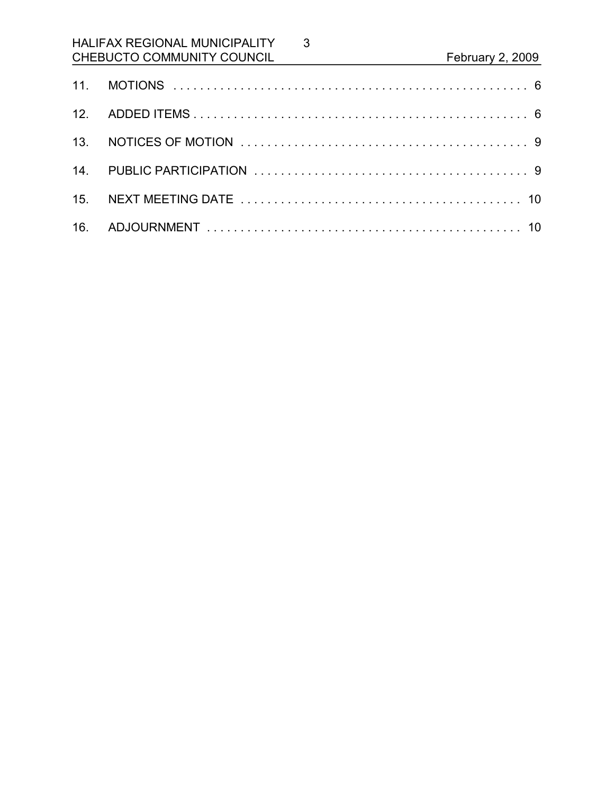# HALIFAX REGIONAL MUNICIPALITY CHEBUCTO COMMUNITY COUNCIL February 2, 2009

3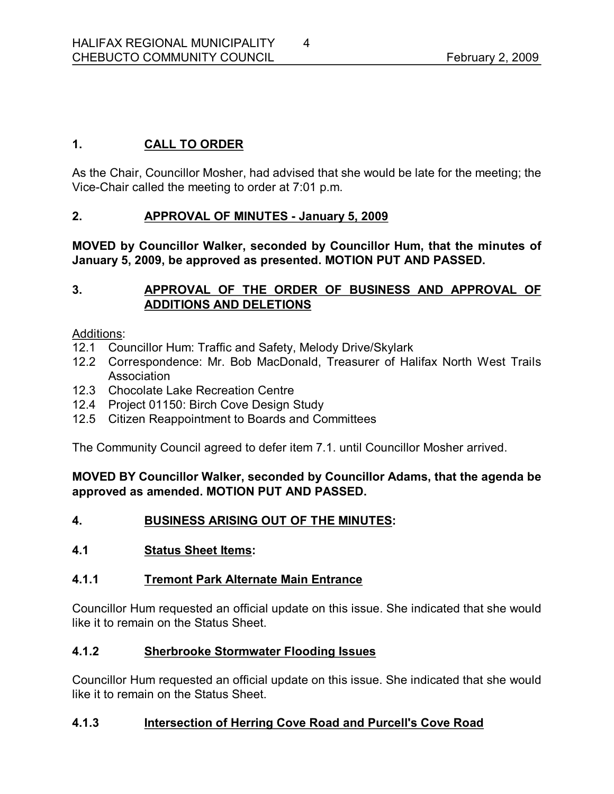# **1. CALL TO ORDER**

As the Chair, Councillor Mosher, had advised that she would be late for the meeting; the Vice-Chair called the meeting to order at 7:01 p.m.

# **2. APPROVAL OF MINUTES January 5, 2009**

**MOVED by Councillor Walker, seconded by Councillor Hum, that the minutes of January 5, 2009, be approved as presented. MOTION PUT AND PASSED.** 

# **3. APPROVAL OF THE ORDER OF BUSINESS AND APPROVAL OF ADDITIONS AND DELETIONS**

#### Additions:

- 12.1 Councillor Hum: Traffic and Safety, Melody Drive/Skylark
- 12.2 Correspondence: Mr. Bob MacDonald, Treasurer of Halifax North West Trails Association
- 12.3 Chocolate Lake Recreation Centre
- 12.4 Project 01150: Birch Cove Design Study
- 12.5 Citizen Reappointment to Boards and Committees

The Community Council agreed to defer item 7.1. until Councillor Mosher arrived.

### **MOVED BY Councillor Walker, seconded by Councillor Adams, that the agenda be approved as amended. MOTION PUT AND PASSED.**

# **4. BUSINESS ARISING OUT OF THE MINUTES:**

**4.1 Status Sheet Items:**

#### **4.1.1 Tremont Park Alternate Main Entrance**

Councillor Hum requested an official update on this issue. She indicated that she would like it to remain on the Status Sheet.

### **4.1.2 Sherbrooke Stormwater Flooding Issues**

Councillor Hum requested an official update on this issue. She indicated that she would like it to remain on the Status Sheet.

# **4.1.3 Intersection of Herring Cove Road and Purcell's Cove Road**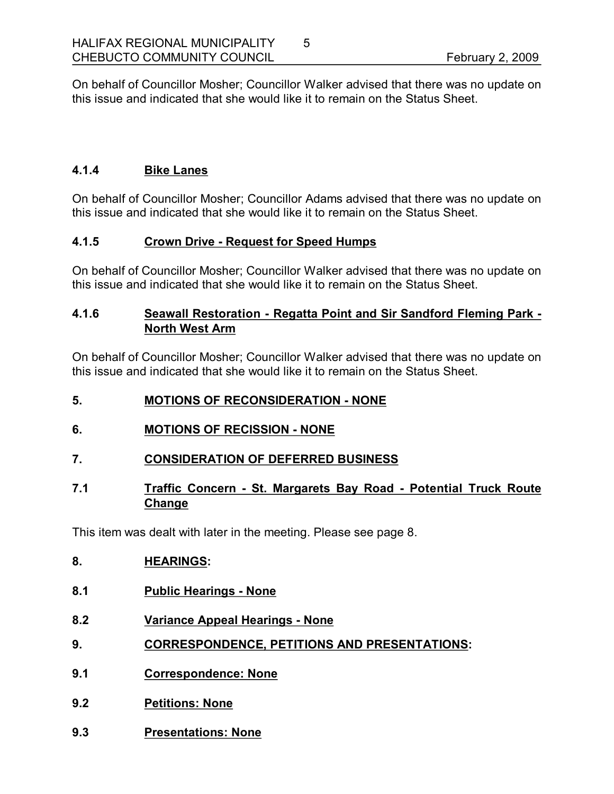On behalf of Councillor Mosher; Councillor Walker advised that there was no update on this issue and indicated that she would like it to remain on the Status Sheet.

5

### **4.1.4 Bike Lanes**

On behalf of Councillor Mosher; Councillor Adams advised that there was no update on this issue and indicated that she would like it to remain on the Status Sheet.

### **4.1.5 Crown Drive Request for Speed Humps**

On behalf of Councillor Mosher; Councillor Walker advised that there was no update on this issue and indicated that she would like it to remain on the Status Sheet.

### **4.1.6 Seawall Restoration Regatta Point and Sir Sandford Fleming Park North West Arm**

On behalf of Councillor Mosher; Councillor Walker advised that there was no update on this issue and indicated that she would like it to remain on the Status Sheet.

### **5. MOTIONS OF RECONSIDERATION NONE**

**6. MOTIONS OF RECISSION NONE**

#### **7. CONSIDERATION OF DEFERRED BUSINESS**

# **7.1 Traffic Concern St. Margarets Bay Road Potential Truck Route Change**

This item was dealt with later in the meeting. Please see page 8.

- **8. HEARINGS:**
- **8.1 Public Hearings None**
- **8.2 Variance Appeal Hearings None**
- **9. CORRESPONDENCE, PETITIONS AND PRESENTATIONS:**
- **9.1 Correspondence: None**
- **9.2 Petitions: None**
- **9.3 Presentations: None**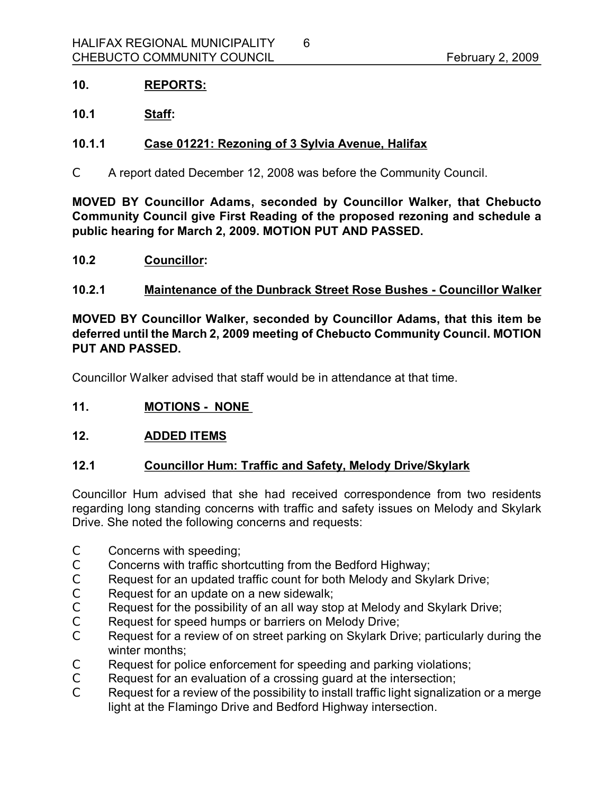# **10. REPORTS:**

**10.1 Staff:**

# **10.1.1 Case 01221: Rezoning of 3 Sylvia Avenue, Halifax**

C A report dated December 12, 2008 was before the Community Council.

**MOVED BY Councillor Adams, seconded by Councillor Walker, that Chebucto Community Council give First Reading of the proposed rezoning and schedule a public hearing for March 2, 2009. MOTION PUT AND PASSED.** 

6

**10.2 Councillor:**

# **10.2.1 Maintenance of the Dunbrack Street Rose Bushes Councillor Walker**

**MOVED BY Councillor Walker, seconded by Councillor Adams, that this item be deferred until the March 2,2009 meeting of Chebucto Community Council. MOTION PUT AND PASSED.**

Councillor Walker advised that staff would be in attendance at that time.

# **11. MOTIONS NONE**

# **12. ADDED ITEMS**

#### **12.1 Councillor Hum: Traffic and Safety, Melody Drive/Skylark**

Councillor Hum advised that she had received correspondence from two residents regarding long standing concerns with traffic and safety issues on Melody and Skylark Drive. She noted the following concerns and requests:

- C Concerns with speeding;
- C Concerns with traffic shortcutting from the Bedford Highway;
- C Request for an updated traffic count for both Melody and Skylark Drive;
- C Request for an update on a new sidewalk;
- C Request for the possibility of an all way stop at Melody and Skylark Drive;
- C Request for speed humps or barriers on Melody Drive;
- C Request for a review of on street parking on Skylark Drive; particularly during the winter months;
- C Request for police enforcement for speeding and parking violations;
- C Request for an evaluation of a crossing guard at the intersection;
- C Request for a review of the possibility to install traffic light signalization or a merge light at the Flamingo Drive and Bedford Highway intersection.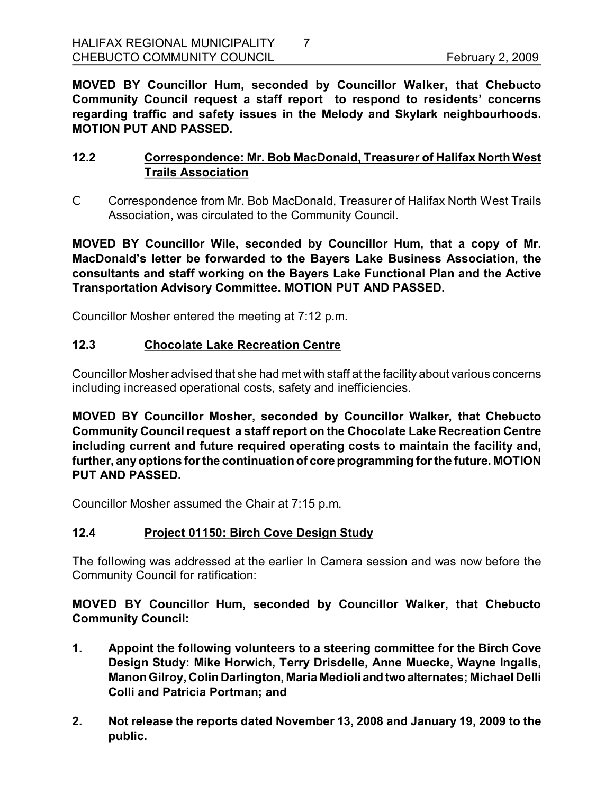**MOVED BY Councillor Hum, seconded by Councillor Walker, that Chebucto Community Council request a staff report to respond to residents' concerns regarding traffic and safety issues in the Melody and Skylark neighbourhoods. MOTION PUT AND PASSED.** 

### **12.2 Correspondence: Mr. Bob MacDonald, Treasurer of Halifax North West Trails Association**

C Correspondence from Mr. Bob MacDonald, Treasurer of Halifax North West Trails Association, was circulated to the Community Council.

**MOVED BY Councillor Wile, seconded by Councillor Hum, that a copy of Mr. MacDonald's letter be forwarded to the Bayers Lake Business Association, the consultants and staff working on the Bayers Lake Functional Plan and the Active Transportation Advisory Committee. MOTION PUT AND PASSED.**

Councillor Mosher entered the meeting at 7:12 p.m.

#### **12.3 Chocolate Lake Recreation Centre**

Councillor Mosher advised that she had met with staff at the facility about various concerns including increased operational costs, safety and inefficiencies.

**MOVED BY Councillor Mosher, seconded by Councillor Walker, that Chebucto Community Council request a staff report on the Chocolate Lake Recreation Centre including current and future required operating costs to maintain the facility and, further, anyoptions forthe continuationof coreprogramming forthe future. MOTION PUT AND PASSED.**

Councillor Mosher assumed the Chair at 7:15 p.m.

#### **12.4 Project 01150: Birch Cove Design Study**

The following was addressed at the earlier In Camera session and was now before the Community Council for ratification:

**MOVED BY Councillor Hum, seconded by Councillor Walker, that Chebucto Community Council:**

- **1. Appoint the following volunteers to a steering committee for the Birch Cove Design Study: Mike Horwich, Terry Drisdelle, Anne Muecke, Wayne Ingalls, ManonGilroy, Colin Darlington, Maria Medioli andtwoalternates; Michael Delli Colli and Patricia Portman; and**
- **2. Not release the reports dated November 13, 2008 and January 19, 2009 to the public.**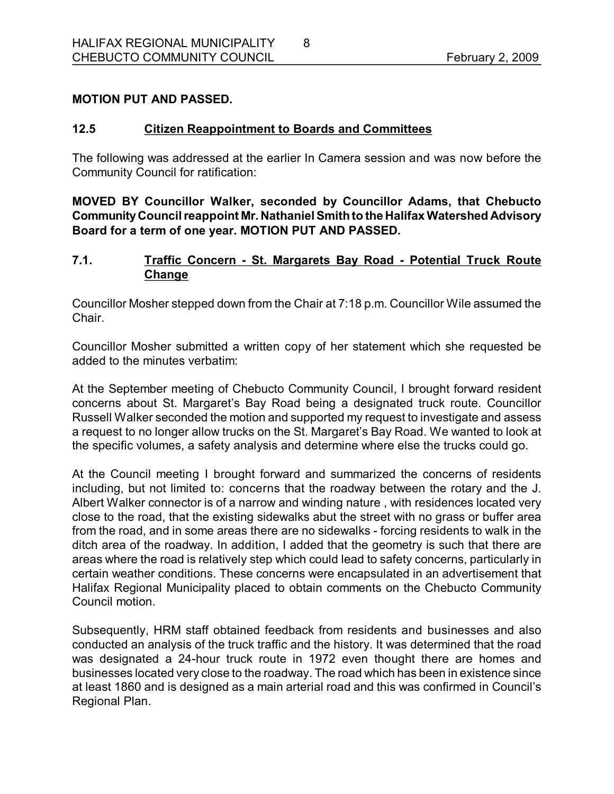#### **MOTION PUT AND PASSED.**

#### **12.5 Citizen Reappointment to Boards and Committees**

The following was addressed at the earlier In Camera session and was now before the Community Council for ratification:

**MOVED BY Councillor Walker, seconded by Councillor Adams, that Chebucto CommunityCouncil reappoint Mr. Nathaniel Smithto the Halifax Watershed Advisory Board for a term of one year. MOTION PUT AND PASSED.** 

### **7.1. Traffic Concern St. Margarets Bay Road Potential Truck Route Change**

Councillor Mosher stepped down from the Chair at 7:18 p.m. Councillor Wile assumed the Chair.

Councillor Mosher submitted a written copy of her statement which she requested be added to the minutes verbatim:

At the September meeting of Chebucto Community Council, I brought forward resident concerns about St. Margaret's Bay Road being a designated truck route. Councillor Russell Walker seconded the motion and supported my request to investigate and assess a request to no longer allow trucks on the St. Margaret's Bay Road. We wanted to look at the specific volumes, a safety analysis and determine where else the trucks could go.

At the Council meeting I brought forward and summarized the concerns of residents including, but not limited to: concerns that the roadway between the rotary and the J. Albert Walker connector is of a narrow and winding nature , with residences located very close to the road, that the existing sidewalks abut the street with no grass or buffer area from the road, and in some areas there are no sidewalks - forcing residents to walk in the ditch area of the roadway. In addition, I added that the geometry is such that there are areas where the road is relatively step which could lead to safety concerns, particularly in certain weather conditions. These concerns were encapsulated in an advertisement that Halifax Regional Municipality placed to obtain comments on the Chebucto Community Council motion.

Subsequently, HRM staff obtained feedback from residents and businesses and also conducted an analysis of the truck traffic and the history. It was determined that the road was designated a 24-hour truck route in 1972 even thought there are homes and businesses located very close to the roadway. The road which has been in existence since at least 1860 and is designed as a main arterial road and this was confirmed in Council's Regional Plan.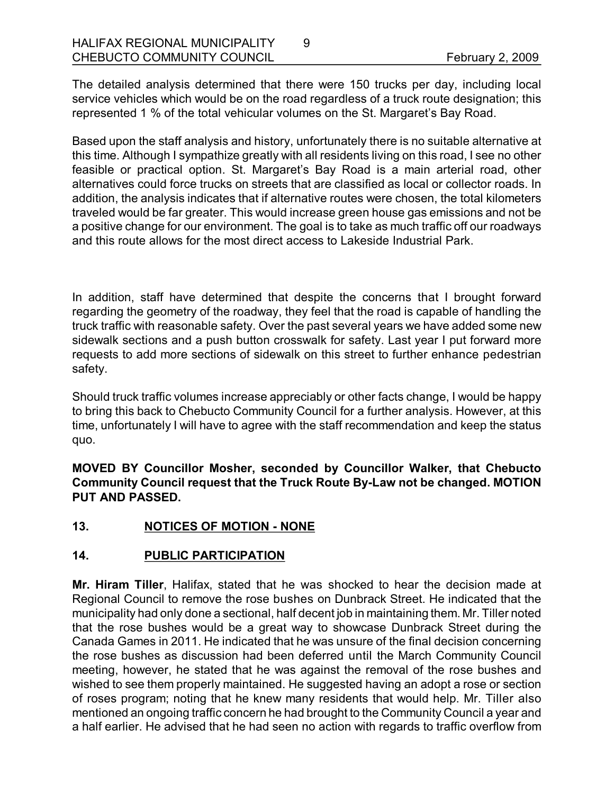The detailed analysis determined that there were 150 trucks per day, including local service vehicles which would be on the road regardless of a truck route designation; this represented 1 % of the total vehicular volumes on the St. Margaret's Bay Road.

9

Based upon the staff analysis and history, unfortunately there is no suitable alternative at this time. Although I sympathize greatly with all residents living on this road, I see no other feasible or practical option. St. Margaret's Bay Road is a main arterial road, other alternatives could force trucks on streets that are classified as local or collector roads. In addition, the analysis indicates that if alternative routes were chosen, the total kilometers traveled would be far greater. This would increase green house gas emissions and not be a positive change for our environment. The goal is to take as much traffic off our roadways and this route allows for the most direct access to Lakeside Industrial Park.

In addition, staff have determined that despite the concerns that I brought forward regarding the geometry of the roadway, they feel that the road is capable of handling the truck traffic with reasonable safety. Over the past several years we have added some new sidewalk sections and a push button crosswalk for safety. Last year I put forward more requests to add more sections of sidewalk on this street to further enhance pedestrian safety.

Should truck traffic volumes increase appreciably or other facts change, I would be happy to bring this back to Chebucto Community Council for a further analysis. However, at this time, unfortunately I will have to agree with the staff recommendation and keep the status quo.

**MOVED BY Councillor Mosher, seconded by Councillor Walker, that Chebucto Community Council request that the Truck Route ByLaw not be changed. MOTION PUT AND PASSED.** 

# **13. NOTICES OF MOTION - NONE**

# **14. PUBLIC PARTICIPATION**

**Mr. Hiram Tiller**, Halifax, stated that he was shocked to hear the decision made at Regional Council to remove the rose bushes on Dunbrack Street. He indicated that the municipality had only done a sectional, half decent job in maintaining them. Mr. Tiller noted that the rose bushes would be a great way to showcase Dunbrack Street during the Canada Games in 2011. He indicated that he was unsure of the final decision concerning the rose bushes as discussion had been deferred until the March Community Council meeting, however, he stated that he was against the removal of the rose bushes and wished to see them properly maintained. He suggested having an adopt a rose or section of roses program; noting that he knew many residents that would help. Mr. Tiller also mentioned an ongoing traffic concern he had brought to the Community Council a year and a half earlier. He advised that he had seen no action with regards to traffic overflow from